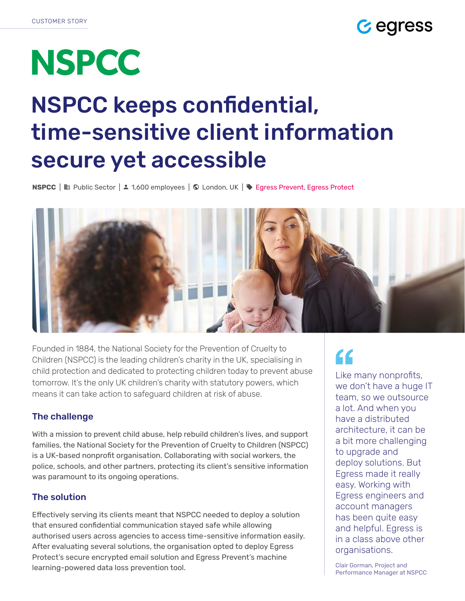

# **NSPCC**

## NSPCC keeps confidential, time-sensitive client information secure yet accessible

NSPCC | Public Sector | 1,600 employees | London, UK | [Egress Prevent](https://www.egress.com/products/email-security-and-encryption-suite/prevent), [Egress Protect](https://www.egress.com/products/email-security-and-encryption-suite/protect)



Founded in 1884, the National Society for the Prevention of Cruelty to Children (NSPCC) is the leading children's charity in the UK, specialising in child protection and dedicated to protecting children today to prevent abuse tomorrow. It's the only UK children's charity with statutory powers, which means it can take action to safeguard children at risk of abuse.

### The challenge

With a mission to prevent child abuse, help rebuild children's lives, and support families, the National Society for the Prevention of Cruelty to Children (NSPCC) is a UK-based nonprofit organisation. Collaborating with social workers, the police, schools, and other partners, protecting its client's sensitive information was paramount to its ongoing operations.

### The solution

Effectively serving its clients meant that NSPCC needed to deploy a solution that ensured confidential communication stayed safe while allowing authorised users across agencies to access time-sensitive information easily. After evaluating several solutions, the organisation opted to deploy Egress Protect's secure encrypted email solution and Egress Prevent's machine learning-powered data loss prevention tool.

### $\epsilon$

Like many nonprofits, we don't have a huge IT team, so we outsource a lot. And when you have a distributed architecture, it can be a bit more challenging to upgrade and deploy solutions. But Egress made it really easy. Working with Egress engineers and account managers has been quite easy and helpful. Egress is in a class above other organisations.

Clair Gorman, Project and Performance Manager at NSPCC